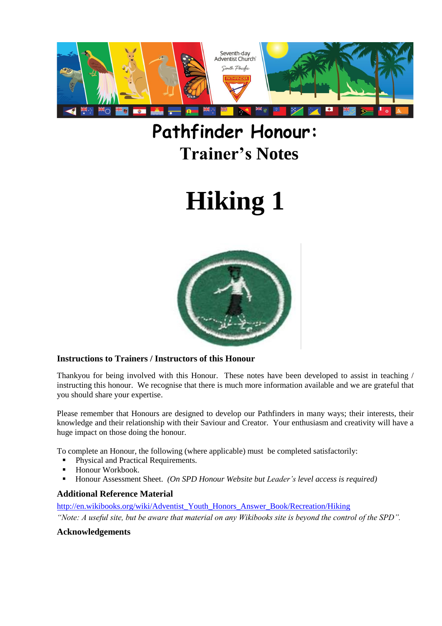

## **Pathfinder Honour: Trainer's Notes**

# **Hiking 1**



#### **Instructions to Trainers / Instructors of this Honour**

Thankyou for being involved with this Honour. These notes have been developed to assist in teaching / instructing this honour. We recognise that there is much more information available and we are grateful that you should share your expertise.

Please remember that Honours are designed to develop our Pathfinders in many ways; their interests, their knowledge and their relationship with their Saviour and Creator. Your enthusiasm and creativity will have a huge impact on those doing the honour.

To complete an Honour, the following (where applicable) must be completed satisfactorily:

- Physical and Practical Requirements.
- Honour Workbook.
- Honour Assessment Sheet. *(On SPD Honour Website but Leader's level access is required)*

#### **Additional Reference Material**

[http://en.wikibooks.org/wiki/Adventist\\_Youth\\_Honors\\_Answer\\_Book/Recreation/Hiking](http://en.wikibooks.org/wiki/Adventist_Youth_Honors_Answer_Book/Recreation/Hiking) *"Note: A useful site, but be aware that material on any Wikibooks site is beyond the control of the SPD".*

#### **Acknowledgements**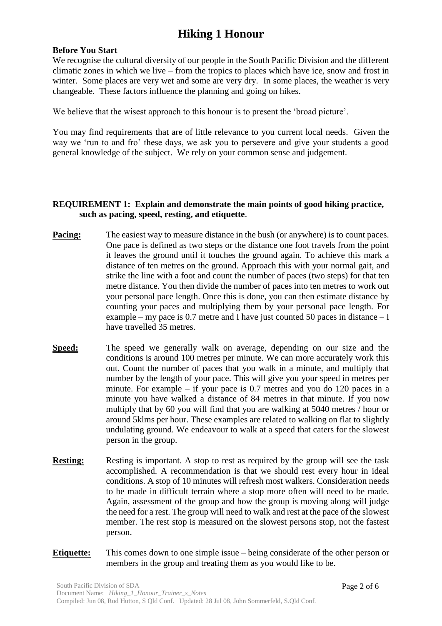#### **Before You Start**

We recognise the cultural diversity of our people in the South Pacific Division and the different climatic zones in which we live – from the tropics to places which have ice, snow and frost in winter. Some places are very wet and some are very dry. In some places, the weather is very changeable. These factors influence the planning and going on hikes.

We believe that the wisest approach to this honour is to present the 'broad picture'.

You may find requirements that are of little relevance to you current local needs. Given the way we 'run to and fro' these days, we ask you to persevere and give your students a good general knowledge of the subject. We rely on your common sense and judgement.

#### **REQUIREMENT 1: Explain and demonstrate the main points of good hiking practice, such as pacing, speed, resting, and etiquette**.

- **Pacing:** The easiest way to measure distance in the bush (or anywhere) is to count paces. One pace is defined as two steps or the distance one foot travels from the point it leaves the ground until it touches the ground again. To achieve this mark a distance of ten metres on the ground. Approach this with your normal gait, and strike the line with a foot and count the number of paces (two steps) for that ten metre distance. You then divide the number of paces into ten metres to work out your personal pace length. Once this is done, you can then estimate distance by counting your paces and multiplying them by your personal pace length. For example – my pace is 0.7 metre and I have just counted 50 paces in distance – I have travelled 35 metres.
- **Speed:** The speed we generally walk on average, depending on our size and the conditions is around 100 metres per minute. We can more accurately work this out. Count the number of paces that you walk in a minute, and multiply that number by the length of your pace. This will give you your speed in metres per minute. For example – if your pace is 0.7 metres and you do 120 paces in a minute you have walked a distance of 84 metres in that minute. If you now multiply that by 60 you will find that you are walking at 5040 metres / hour or around 5klms per hour. These examples are related to walking on flat to slightly undulating ground. We endeavour to walk at a speed that caters for the slowest person in the group.
- **Resting:** Resting is important. A stop to rest as required by the group will see the task accomplished. A recommendation is that we should rest every hour in ideal conditions. A stop of 10 minutes will refresh most walkers. Consideration needs to be made in difficult terrain where a stop more often will need to be made. Again, assessment of the group and how the group is moving along will judge the need for a rest. The group will need to walk and rest at the pace of the slowest member. The rest stop is measured on the slowest persons stop, not the fastest person.
- **Etiquette:** This comes down to one simple issue being considerate of the other person or members in the group and treating them as you would like to be.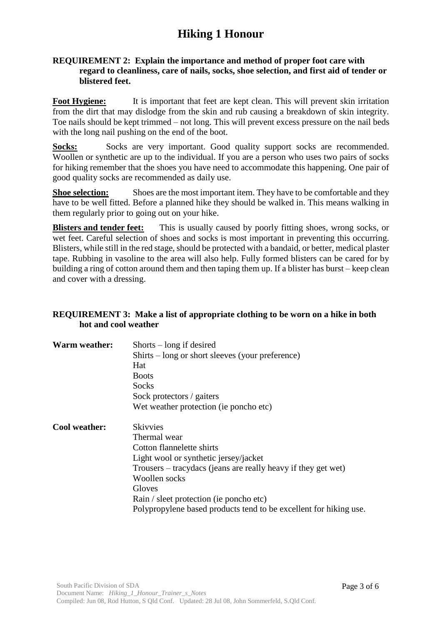#### **REQUIREMENT 2: Explain the importance and method of proper foot care with regard to cleanliness, care of nails, socks, shoe selection, and first aid of tender or blistered feet.**

**Foot Hygiene:** It is important that feet are kept clean. This will prevent skin irritation from the dirt that may dislodge from the skin and rub causing a breakdown of skin integrity. Toe nails should be kept trimmed – not long. This will prevent excess pressure on the nail beds with the long nail pushing on the end of the boot.

Socks: Socks are very important. Good quality support socks are recommended. Woollen or synthetic are up to the individual. If you are a person who uses two pairs of socks for hiking remember that the shoes you have need to accommodate this happening. One pair of good quality socks are recommended as daily use.

**Shoe selection:** Shoes are the most important item. They have to be comfortable and they have to be well fitted. Before a planned hike they should be walked in. This means walking in them regularly prior to going out on your hike.

**Blisters and tender feet:** This is usually caused by poorly fitting shoes, wrong socks, or wet feet. Careful selection of shoes and socks is most important in preventing this occurring. Blisters, while still in the red stage, should be protected with a bandaid, or better, medical plaster tape. Rubbing in vasoline to the area will also help. Fully formed blisters can be cared for by building a ring of cotton around them and then taping them up. If a blister has burst – keep clean and cover with a dressing.

#### **REQUIREMENT 3: Make a list of appropriate clothing to be worn on a hike in both hot and cool weather**

| <b>Warm weather:</b> | $Shorts - long if desired$<br>$Shifts - long or short sleeves (your preference)$<br>Hat<br><b>Boots</b><br>Socks<br>Sock protectors / gaiters                                                                                                                                                                     |
|----------------------|-------------------------------------------------------------------------------------------------------------------------------------------------------------------------------------------------------------------------------------------------------------------------------------------------------------------|
|                      | Wet weather protection (ie poncho etc)                                                                                                                                                                                                                                                                            |
| Cool weather:        | <b>Skivvies</b><br>Thermal wear<br>Cotton flannelette shirts<br>Light wool or synthetic jersey/jacket<br>Trousers – tracydacs (jeans are really heavy if they get wet)<br>Woollen socks<br>Gloves<br>Rain / sleet protection (ie poncho etc)<br>Polypropylene based products tend to be excellent for hiking use. |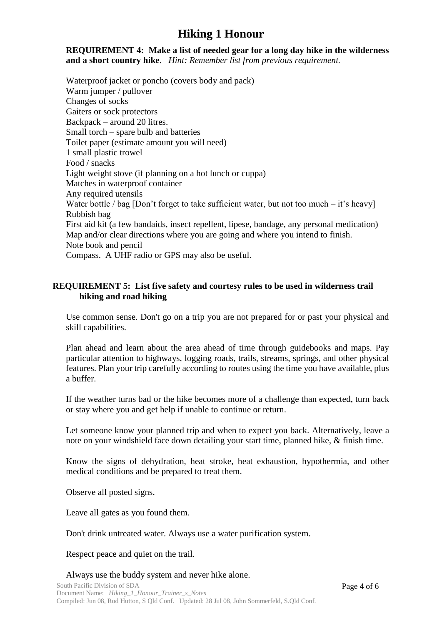#### **REQUIREMENT 4: Make a list of needed gear for a long day hike in the wilderness and a short country hike**. *Hint: Remember list from previous requirement.*

Waterproof jacket or poncho (covers body and pack) Warm jumper / pullover Changes of socks Gaiters or sock protectors Backpack – around 20 litres. Small torch – spare bulb and batteries Toilet paper (estimate amount you will need) 1 small plastic trowel Food / snacks Light weight stove (if planning on a hot lunch or cuppa) Matches in waterproof container Any required utensils Water bottle / bag [Don't forget to take sufficient water, but not too much – it's heavy] Rubbish bag First aid kit (a few bandaids, insect repellent, lipese, bandage, any personal medication) Map and/or clear directions where you are going and where you intend to finish. Note book and pencil Compass. A UHF radio or GPS may also be useful.

#### **REQUIREMENT 5: List five safety and courtesy rules to be used in wilderness trail hiking and road hiking**

Use common sense. Don't go on a trip you are not prepared for or past your physical and skill capabilities.

Plan ahead and learn about the area ahead of time through guidebooks and maps. Pay particular attention to highways, logging roads, trails, streams, springs, and other physical features. Plan your trip carefully according to routes using the time you have available, plus a buffer.

If the weather turns bad or the hike becomes more of a challenge than expected, turn back or stay where you and get help if unable to continue or return.

Let someone know your planned trip and when to expect you back. Alternatively, leave a note on your windshield face down detailing your start time, planned hike, & finish time.

Know the signs of dehydration, heat stroke, heat exhaustion, hypothermia, and other medical conditions and be prepared to treat them.

Observe all posted signs.

Leave all gates as you found them.

Don't drink untreated water. Always use a water purification system.

Respect peace and quiet on the trail.

Always use the buddy system and never hike alone.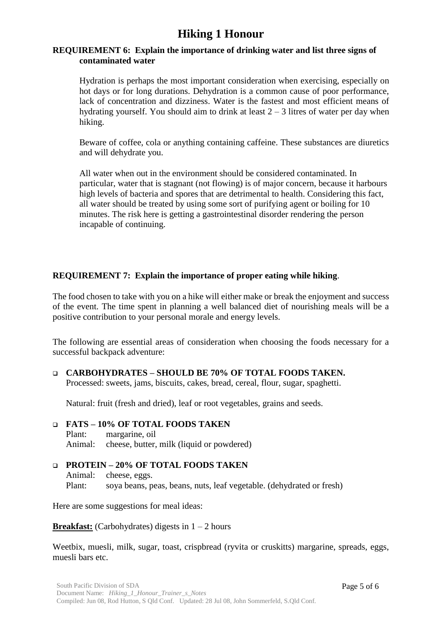#### **REQUIREMENT 6: Explain the importance of drinking water and list three signs of contaminated water**

Hydration is perhaps the most important consideration when exercising, especially on hot days or for long durations. Dehydration is a common cause of poor performance, lack of concentration and dizziness. Water is the fastest and most efficient means of hydrating yourself. You should aim to drink at least  $2 - 3$  litres of water per day when hiking.

Beware of coffee, cola or anything containing caffeine. These substances are diuretics and will dehydrate you.

All water when out in the environment should be considered contaminated. In particular, water that is stagnant (not flowing) is of major concern, because it harbours high levels of bacteria and spores that are detrimental to health. Considering this fact, all water should be treated by using some sort of purifying agent or boiling for 10 minutes. The risk here is getting a gastrointestinal disorder rendering the person incapable of continuing.

#### **REQUIREMENT 7: Explain the importance of proper eating while hiking**.

The food chosen to take with you on a hike will either make or break the enjoyment and success of the event. The time spent in planning a well balanced diet of nourishing meals will be a positive contribution to your personal morale and energy levels.

The following are essential areas of consideration when choosing the foods necessary for a successful backpack adventure:

 **CARBOHYDRATES – SHOULD BE 70% OF TOTAL FOODS TAKEN.** Processed: sweets, jams, biscuits, cakes, bread, cereal, flour, sugar, spaghetti.

Natural: fruit (fresh and dried), leaf or root vegetables, grains and seeds.

#### **FATS – 10% OF TOTAL FOODS TAKEN** Plant: margarine, oil Animal: cheese, butter, milk (liquid or powdered)

#### **PROTEIN – 20% OF TOTAL FOODS TAKEN** Animal: cheese, eggs. Plant: soya beans, peas, beans, nuts, leaf vegetable. (dehydrated or fresh)

Here are some suggestions for meal ideas:

**Breakfast:** (Carbohydrates) digests in  $1 - 2$  hours

Weetbix, muesli, milk, sugar, toast, crispbread (ryvita or cruskitts) margarine, spreads, eggs, muesli bars etc.